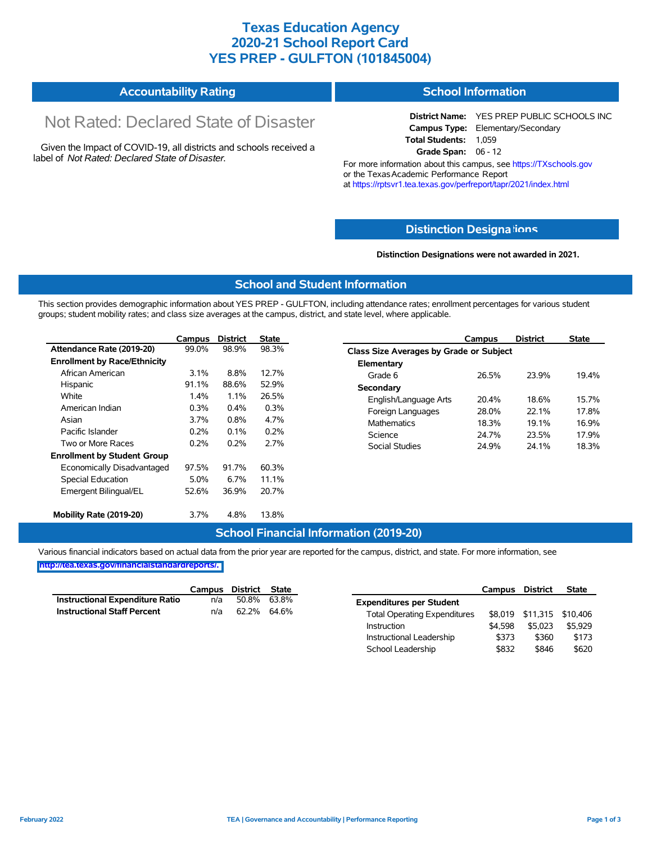### **Texas Education Agency 2020-21 School Report Card YES PREP - GULFTON (101845004)**

| <b>Accountability Rating</b> | <b>School Information</b> |
|------------------------------|---------------------------|
|                              |                           |

# Not Rated: Declared State of Disaster

Given the Impact of COVID-19, all districts and schools received a label of *Not Rated: Declared State of Disaster.*

**District Name:** YES PREP PUBLIC SCHOOLS INC **Campus Type:** Elementary/Secondary **Total Students:** 1,059 **Grade Span:** 06 - 12

For more information about this campus, see https://TXschools.gov or the Texas Academic Performance Report at https://rptsvr1.tea.texas.gov/perfreport/tapr/2021/index.html

#### **Distinction Designa[tions](https://TXschools.gov)**

**Distinction Designations were not awarded in 2021.**

School Leadership  $$832$  \$846 \$620

#### **School and Student Information**

This section provides demographic information about YES PREP - GULFTON, including attendance rates; enrollment percentages for various student groups; student mobility rates; and class size averages at the campus, district, and state level, where applicable.

|                                     | Campus  | <b>District</b> | <b>State</b> | <b>District</b><br><b>State</b><br>Campus |       |
|-------------------------------------|---------|-----------------|--------------|-------------------------------------------|-------|
| Attendance Rate (2019-20)           | 99.0%   | 98.9%           | 98.3%        | Class Size Averages by Grade or Subject   |       |
| <b>Enrollment by Race/Ethnicity</b> |         |                 |              | Elementary                                |       |
| African American                    | $3.1\%$ | 8.8%            | 12.7%        | 26.5%<br>23.9%<br>Grade 6                 | 19.4% |
| Hispanic                            | 91.1%   | 88.6%           | 52.9%        | Secondary                                 |       |
| White                               | 1.4%    | 1.1%            | 26.5%        | 20.4%<br>18.6%<br>English/Language Arts   | 15.7% |
| American Indian                     | 0.3%    | 0.4%            | 0.3%         | 28.0%<br>22.1%<br>Foreign Languages       | 17.8% |
| Asian                               | 3.7%    | 0.8%            | 4.7%         | <b>Mathematics</b><br>19.1%<br>18.3%      | 16.9% |
| Pacific Islander                    | 0.2%    | 0.1%            | 0.2%         | 24.7%<br>23.5%<br>Science                 | 17.9% |
| Two or More Races                   | 0.2%    | 0.2%            | 2.7%         | Social Studies<br>24.9%<br>24.1%          | 18.3% |
| <b>Enrollment by Student Group</b>  |         |                 |              |                                           |       |
| Economically Disadvantaged          | 97.5%   | 91.7%           | 60.3%        |                                           |       |
| Special Education                   | 5.0%    | 6.7%            | 11.1%        |                                           |       |
| Emergent Bilingual/EL               | 52.6%   | 36.9%           | 20.7%        |                                           |       |
| Mobility Rate (2019-20)             | 3.7%    | 4.8%            | 13.8%        |                                           |       |

#### **School Financial Information (2019-20)**

Various financial indicators based on actual data from the prior year are reported for the campus, district, and state. For more information, see

**[http://tea.texas.gov/financialstandardreports/.](http://tea.texas.gov/financialstandardreports/)**

|                                        | Campus | District | <b>State</b> |                                     | <b>Campus</b> | <b>District</b>           | <b>State</b> |
|----------------------------------------|--------|----------|--------------|-------------------------------------|---------------|---------------------------|--------------|
| <b>Instructional Expenditure Ratio</b> | n/a    | 50.8%    | 63.8%        | <b>Expenditures per Student</b>     |               |                           |              |
| <b>Instructional Staff Percent</b>     | n/a    | 62.2%    | 64.6%        | <b>Total Operating Expenditures</b> |               | \$8,019 \$11,315 \$10,406 |              |
|                                        |        |          |              | Instruction                         | \$4.598       | \$5.023                   | \$5,929      |
|                                        |        |          |              | Instructional Leadership            | \$373         | \$360                     | \$173        |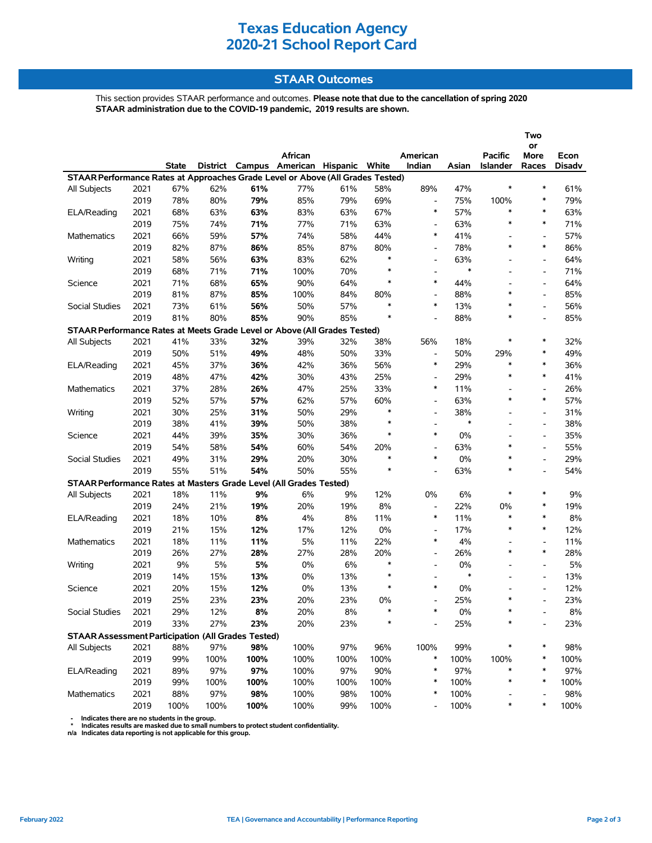# **Texas Education Agency 2020-21 School Report Card**

### **STAAR Outcomes**

This section provides STAAR performance and outcomes. **Please note that due to the cancellation of spring 2020 STAAR administration due to the COVID-19 pandemic, 2019 results are shown.**

|                                                                                |      |       |      |      |                                         |      |        |                          |        |                 | Two<br>or                |               |  |
|--------------------------------------------------------------------------------|------|-------|------|------|-----------------------------------------|------|--------|--------------------------|--------|-----------------|--------------------------|---------------|--|
|                                                                                |      |       |      |      | African                                 |      |        | American                 |        | <b>Pacific</b>  | More                     | Econ          |  |
|                                                                                |      | State |      |      | District Campus American Hispanic White |      |        | Indian                   | Asian  | <b>Islander</b> | Races                    | <b>Disadv</b> |  |
| STAAR Performance Rates at Approaches Grade Level or Above (All Grades Tested) |      |       |      |      |                                         |      |        |                          |        |                 |                          |               |  |
| All Subjects                                                                   | 2021 | 67%   | 62%  | 61%  | 77%                                     | 61%  | 58%    | 89%                      | 47%    | ∗               | $\ast$                   | 61%           |  |
|                                                                                | 2019 | 78%   | 80%  | 79%  | 85%                                     | 79%  | 69%    | $\overline{\phantom{a}}$ | 75%    | 100%            | $\ast$                   | 79%           |  |
| ELA/Reading                                                                    | 2021 | 68%   | 63%  | 63%  | 83%                                     | 63%  | 67%    | $\ast$                   | 57%    | $\ast$          | $\ast$                   | 63%           |  |
|                                                                                | 2019 | 75%   | 74%  | 71%  | 77%                                     | 71%  | 63%    | $\overline{\phantom{a}}$ | 63%    | $\ast$          | $\ast$                   | 71%           |  |
| <b>Mathematics</b>                                                             | 2021 | 66%   | 59%  | 57%  | 74%                                     | 58%  | 44%    | $\ast$                   | 41%    |                 | $\overline{\phantom{a}}$ | 57%           |  |
|                                                                                | 2019 | 82%   | 87%  | 86%  | 85%                                     | 87%  | 80%    | $\overline{a}$           | 78%    | $\ast$          | $\ast$                   | 86%           |  |
| Writing                                                                        | 2021 | 58%   | 56%  | 63%  | 83%                                     | 62%  | $\ast$ | $\overline{\phantom{a}}$ | 63%    |                 | $\overline{\phantom{a}}$ | 64%           |  |
|                                                                                | 2019 | 68%   | 71%  | 71%  | 100%                                    | 70%  | $\ast$ | $\overline{\phantom{a}}$ | $\ast$ |                 | $\overline{\phantom{a}}$ | 71%           |  |
| Science                                                                        | 2021 | 71%   | 68%  | 65%  | 90%                                     | 64%  | $\ast$ | $\ast$                   | 44%    |                 | $\overline{\phantom{0}}$ | 64%           |  |
|                                                                                | 2019 | 81%   | 87%  | 85%  | 100%                                    | 84%  | 80%    | $\overline{\phantom{a}}$ | 88%    | $\ast$          | $\overline{\phantom{a}}$ | 85%           |  |
| Social Studies                                                                 | 2021 | 73%   | 61%  | 56%  | 50%                                     | 57%  | $\ast$ | $\ast$                   | 13%    | $\ast$          | $\overline{\phantom{a}}$ | 56%           |  |
|                                                                                | 2019 | 81%   | 80%  | 85%  | 90%                                     | 85%  | $\ast$ |                          | 88%    | ∗               | $\overline{a}$           | 85%           |  |
| STAAR Performance Rates at Meets Grade Level or Above (All Grades Tested)      |      |       |      |      |                                         |      |        |                          |        |                 |                          |               |  |
| All Subjects                                                                   | 2021 | 41%   | 33%  | 32%  | 39%                                     | 32%  | 38%    | 56%                      | 18%    | $\ast$          | $\ast$                   | 32%           |  |
|                                                                                | 2019 | 50%   | 51%  | 49%  | 48%                                     | 50%  | 33%    | $\overline{\phantom{a}}$ | 50%    | 29%             | $\ast$                   | 49%           |  |
| ELA/Reading                                                                    | 2021 | 45%   | 37%  | 36%  | 42%                                     | 36%  | 56%    | $\ast$                   | 29%    | $\ast$          | $\ast$                   | 36%           |  |
|                                                                                | 2019 | 48%   | 47%  | 42%  | 30%                                     | 43%  | 25%    | $\overline{\phantom{a}}$ | 29%    | $\ast$          | $\ast$                   | 41%           |  |
| Mathematics                                                                    | 2021 | 37%   | 28%  | 26%  | 47%                                     | 25%  | 33%    | $\ast$                   | 11%    |                 | $\overline{\phantom{a}}$ | 26%           |  |
|                                                                                | 2019 | 52%   | 57%  | 57%  | 62%                                     | 57%  | 60%    | $\overline{\phantom{0}}$ | 63%    | $\ast$          | $\ast$                   | 57%           |  |
| Writing                                                                        | 2021 | 30%   | 25%  | 31%  | 50%                                     | 29%  | $\ast$ | $\overline{\phantom{0}}$ | 38%    |                 | $\overline{\phantom{a}}$ | 31%           |  |
|                                                                                | 2019 | 38%   | 41%  | 39%  | 50%                                     | 38%  | $\ast$ | $\overline{\phantom{a}}$ | $\ast$ |                 | $\overline{\phantom{a}}$ | 38%           |  |
| Science                                                                        | 2021 | 44%   | 39%  | 35%  | 30%                                     | 36%  | $\ast$ | $\ast$                   | 0%     |                 | $\overline{\phantom{a}}$ | 35%           |  |
|                                                                                | 2019 | 54%   | 58%  | 54%  | 60%                                     | 54%  | 20%    | $\overline{\phantom{0}}$ | 63%    | $\ast$          | $\overline{\phantom{a}}$ | 55%           |  |
| Social Studies                                                                 | 2021 | 49%   | 31%  | 29%  | 20%                                     | 30%  | $\ast$ | $\ast$                   | 0%     | $\ast$          | $\overline{\phantom{a}}$ | 29%           |  |
|                                                                                | 2019 | 55%   | 51%  | 54%  | 50%                                     | 55%  | $\ast$ |                          | 63%    | $\ast$          | $\overline{\phantom{a}}$ | 54%           |  |
| STAAR Performance Rates at Masters Grade Level (All Grades Tested)             |      |       |      |      |                                         |      |        |                          |        |                 |                          |               |  |
| All Subjects                                                                   | 2021 | 18%   | 11%  | 9%   | 6%                                      | 9%   | 12%    | 0%                       | 6%     | $\ast$          | $\ast$                   | 9%            |  |
|                                                                                | 2019 | 24%   | 21%  | 19%  | 20%                                     | 19%  | 8%     | $\overline{\phantom{a}}$ | 22%    | 0%              | $\ast$                   | 19%           |  |
| ELA/Reading                                                                    | 2021 | 18%   | 10%  | 8%   | 4%                                      | 8%   | 11%    | $\ast$                   | 11%    | $\ast$          | $\ast$                   | $8\%$         |  |
|                                                                                | 2019 | 21%   | 15%  | 12%  | 17%                                     | 12%  | 0%     | $\overline{\phantom{a}}$ | 17%    | $\ast$          | $\ast$                   | 12%           |  |
| Mathematics                                                                    | 2021 | 18%   | 11%  | 11%  | 5%                                      | 11%  | 22%    | $\ast$                   | 4%     |                 | $\overline{\phantom{a}}$ | 11%           |  |
|                                                                                | 2019 | 26%   | 27%  | 28%  | 27%                                     | 28%  | 20%    | $\overline{\phantom{a}}$ | 26%    | $\ast$          | $\ast$                   | 28%           |  |
| Writing                                                                        | 2021 | 9%    | 5%   | 5%   | 0%                                      | 6%   | $\ast$ | $\overline{\phantom{a}}$ | 0%     |                 | $\overline{\phantom{a}}$ | 5%            |  |
|                                                                                | 2019 | 14%   | 15%  | 13%  | $0\%$                                   | 13%  | ∗      | $\overline{\phantom{a}}$ | $\ast$ |                 | $\overline{\phantom{a}}$ | 13%           |  |
| Science                                                                        | 2021 | 20%   | 15%  | 12%  | $0\%$                                   | 13%  | $\ast$ | $\ast$                   | 0%     |                 | $\overline{a}$           | 12%           |  |
|                                                                                | 2019 | 25%   | 23%  | 23%  | 20%                                     | 23%  | 0%     | $\overline{\phantom{a}}$ | 25%    | $\ast$          | $\overline{a}$           | 23%           |  |
| Social Studies                                                                 | 2021 | 29%   | 12%  | 8%   | 20%                                     | 8%   |        |                          | 0%     |                 |                          | $8\%$         |  |
|                                                                                | 2019 | 33%   | 27%  | 23%  | 20%                                     | 23%  | $\ast$ |                          | 25%    |                 |                          | 23%           |  |
| <b>STAAR Assessment Participation (All Grades Tested)</b>                      |      |       |      |      |                                         |      |        |                          |        |                 |                          |               |  |
| All Subjects                                                                   | 2021 | 88%   | 97%  | 98%  | 100%                                    | 97%  | 96%    | 100%                     | 99%    |                 | $\ast$                   | 98%           |  |
|                                                                                | 2019 | 99%   | 100% | 100% | 100%                                    | 100% | 100%   | $\ast$                   | 100%   | 100%            | $\ast$                   | 100%          |  |
| ELA/Reading                                                                    | 2021 | 89%   | 97%  | 97%  | 100%                                    | 97%  | 90%    | $\ast$                   | 97%    | *               | ∗                        | 97%           |  |
|                                                                                | 2019 | 99%   | 100% | 100% | 100%                                    | 100% | 100%   | $\ast$                   | 100%   | ∗               | $\ast$                   | 100%          |  |
| Mathematics                                                                    | 2021 | 88%   | 97%  | 98%  | 100%                                    | 98%  | 100%   | $\ast$                   | 100%   |                 |                          | 98%           |  |
|                                                                                | 2019 | 100%  | 100% | 100% | 100%                                    | 99%  | 100%   |                          | 100%   | ∗               | $\ast$                   | 100%          |  |

- Indicates there are no students in the group.<br>\* Indicates results are masked due to small numbers to protect student confidentiality.<br>n/a Indicates data reporting is not applicable for this group.